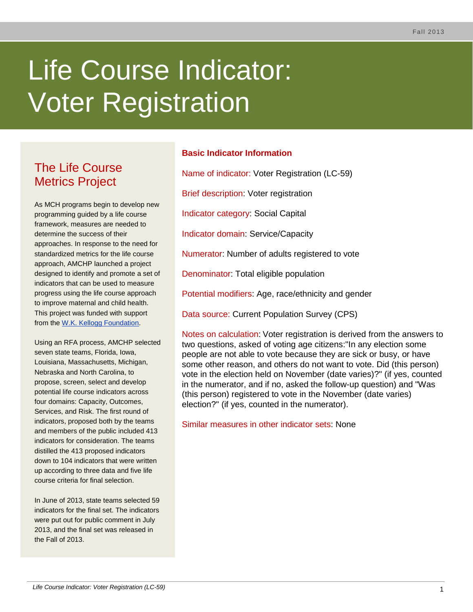# Life Course Indicator: Voter Registration

# The Life Course Metrics Project

As MCH programs begin to develop new programming guided by a life course framework, measures are needed to determine the success of their approaches. In response to the need for standardized metrics for the life course approach, AMCHP launched a project designed to identify and promote a set of indicators that can be used to measure progress using the life course approach to improve maternal and child health. This project was funded with support from the [W.K. Kellogg Foundation.](http://www.wkkf.org/)

Using an RFA process, AMCHP selected seven state teams, Florida, Iowa, Louisiana, Massachusetts, Michigan, Nebraska and North Carolina, to propose, screen, select and develop potential life course indicators across four domains: Capacity, Outcomes, Services, and Risk. The first round of indicators, proposed both by the teams and members of the public included 413 indicators for consideration. The teams distilled the 413 proposed indicators down to 104 indicators that were written up according to three data and five life course criteria for final selection.

In June of 2013, state teams selected 59 indicators for the final set. The indicators were put out for public comment in July 2013, and the final set was released in the Fall of 2013.

# **Basic Indicator Information**

Name of indicator: Voter Registration (LC-59)

Brief description: Voter registration

Indicator category: Social Capital

Indicator domain: Service/Capacity

Numerator: Number of adults registered to vote

Denominator: Total eligible population

Potential modifiers: Age, race/ethnicity and gender

Data source: Current Population Survey (CPS)

Notes on calculation: Voter registration is derived from the answers to two questions, asked of voting age citizens:"In any election some people are not able to vote because they are sick or busy, or have some other reason, and others do not want to vote. Did (this person) vote in the election held on November (date varies)?" (if yes, counted in the numerator, and if no, asked the follow-up question) and "Was (this person) registered to vote in the November (date varies) election?" (if yes, counted in the numerator).

Similar measures in other indicator sets: None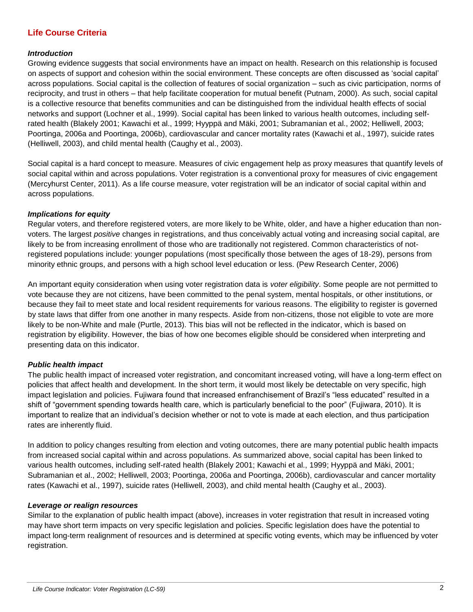## **Life Course Criteria**

#### *Introduction*

Growing evidence suggests that social environments have an impact on health. Research on this relationship is focused on aspects of support and cohesion within the social environment. These concepts are often discussed as 'social capital' across populations. Social capital is the collection of features of social organization – such as civic participation, norms of reciprocity, and trust in others – that help facilitate cooperation for mutual benefit (Putnam, 2000). As such, social capital is a collective resource that benefits communities and can be distinguished from the individual health effects of social networks and support (Lochner et al., 1999). Social capital has been linked to various health outcomes, including selfrated health (Blakely 2001; Kawachi et al., 1999; Hyyppä and Mäki, 2001; Subramanian et al., 2002; Helliwell, 2003; Poortinga, 2006a and Poortinga, 2006b), cardiovascular and cancer mortality rates (Kawachi et al., 1997), suicide rates (Helliwell, 2003), and child mental health (Caughy et al., 2003).

Social capital is a hard concept to measure. Measures of civic engagement help as proxy measures that quantify levels of social capital within and across populations. Voter registration is a conventional proxy for measures of civic engagement (Mercyhurst Center, 2011). As a life course measure, voter registration will be an indicator of social capital within and across populations.

#### *Implications for equity*

Regular voters, and therefore registered voters, are more likely to be White, older, and have a higher education than nonvoters. The largest *positive* changes in registrations, and thus conceivably actual voting and increasing social capital, are likely to be from increasing enrollment of those who are traditionally not registered. Common characteristics of notregistered populations include: younger populations (most specifically those between the ages of 18-29), persons from minority ethnic groups, and persons with a high school level education or less. (Pew Research Center, 2006)

An important equity consideration when using voter registration data is *voter eligibility*. Some people are not permitted to vote because they are not citizens, have been committed to the penal system, mental hospitals, or other institutions, or because they fail to meet state and local resident requirements for various reasons. The eligibility to register is governed by state laws that differ from one another in many respects. Aside from non-citizens, those not eligible to vote are more likely to be non-White and male (Purtle, 2013). This bias will not be reflected in the indicator, which is based on registration by eligibility. However, the bias of how one becomes eligible should be considered when interpreting and presenting data on this indicator.

#### *Public health impact*

The public health impact of increased voter registration, and concomitant increased voting, will have a long-term effect on policies that affect health and development. In the short term, it would most likely be detectable on very specific, high impact legislation and policies. Fujiwara found that increased enfranchisement of Brazil's "less educated" resulted in a shift of "government spending towards health care, which is particularly beneficial to the poor" (Fujiwara, 2010). It is important to realize that an individual's decision whether or not to vote is made at each election, and thus participation rates are inherently fluid.

In addition to policy changes resulting from election and voting outcomes, there are many potential public health impacts from increased social capital within and across populations. As summarized above, social capital has been linked to various health outcomes, including self-rated health (Blakely 2001; Kawachi et al., 1999; Hyyppä and Mäki, 2001; Subramanian et al., 2002; Helliwell, 2003; Poortinga, 2006a and Poortinga, 2006b), cardiovascular and cancer mortality rates (Kawachi et al., 1997), suicide rates (Helliwell, 2003), and child mental health (Caughy et al., 2003).

#### *Leverage or realign resources*

Similar to the explanation of public health impact (above), increases in voter registration that result in increased voting may have short term impacts on very specific legislation and policies. Specific legislation does have the potential to impact long-term realignment of resources and is determined at specific voting events, which may be influenced by voter registration.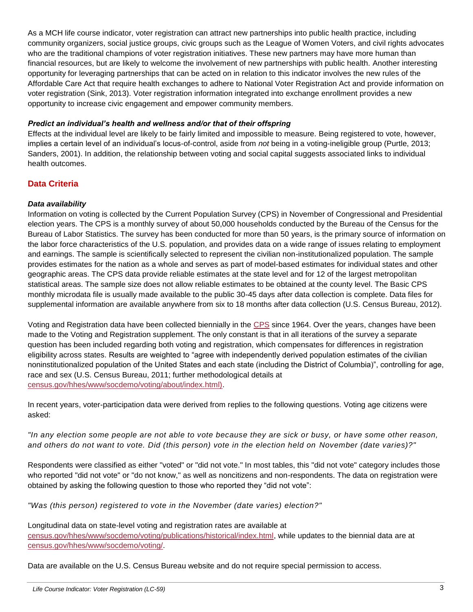As a MCH life course indicator, voter registration can attract new partnerships into public health practice, including community organizers, social justice groups, civic groups such as the League of Women Voters, and civil rights advocates who are the traditional champions of voter registration initiatives. These new partners may have more human than financial resources, but are likely to welcome the involvement of new partnerships with public health. Another interesting opportunity for leveraging partnerships that can be acted on in relation to this indicator involves the new rules of the Affordable Care Act that require health exchanges to adhere to National Voter Registration Act and provide information on voter registration (Sink, 2013). Voter registration information integrated into exchange enrollment provides a new opportunity to increase civic engagement and empower community members.

#### *Predict an individual's health and wellness and/or that of their offspring*

Effects at the individual level are likely to be fairly limited and impossible to measure. Being registered to vote, however, implies a certain level of an individual's locus-of-control, aside from *not* being in a voting-ineligible group (Purtle, 2013; Sanders, 2001). In addition, the relationship between voting and social capital suggests associated links to individual health outcomes.

## **Data Criteria**

#### *Data availability*

Information on voting is collected by the Current Population Survey (CPS) in November of Congressional and Presidential election years. The CPS is a monthly survey of about 50,000 households conducted by the Bureau of the Census for the Bureau of Labor Statistics. The survey has been conducted for more than 50 years, is the primary source of information on the labor force characteristics of the U.S. population, and provides data on a wide range of issues relating to employment and earnings. The sample is scientifically selected to represent the civilian non-institutionalized population. The sample provides estimates for the nation as a whole and serves as part of model-based estimates for individual states and other geographic areas. The CPS data provide reliable estimates at the state level and for 12 of the largest metropolitan statistical areas. The sample size does not allow reliable estimates to be obtained at the county level. The Basic CPS monthly microdata file is usually made available to the public 30-45 days after data collection is complete. Data files for supplemental information are available anywhere from six to 18 months after data collection (U.S. Census Bureau, 2012).

Voting and Registration data have been collected biennially in the [CPS](http://www.census.gov/cps/) since 1964. Over the years, changes have been made to the Voting and Registration supplement. The only constant is that in all iterations of the survey a separate question has been included regarding both voting and registration, which compensates for differences in registration eligibility across states. Results are weighted to "agree with independently derived population estimates of the civilian noninstitutionalized population of the United States and each state (including the District of Columbia)", controlling for age, race and sex (U.S. Census Bureau, 2011; further methodological details at [census.gov/hhes/www/socdemo/voting/about/index.html\).](http://www.census.gov/hhes/www/socdemo/voting/about/index.html))

In recent years, voter-participation data were derived from replies to the following questions. Voting age citizens were asked:

*"In any election some people are not able to vote because they are sick or busy, or have some other reason, and others do not want to vote. Did (this person) vote in the election held on November (date varies)?"* 

Respondents were classified as either "voted" or "did not vote." In most tables, this "did not vote" category includes those who reported "did not vote" or "do not know," as well as noncitizens and non-respondents. The data on registration were obtained by asking the following question to those who reported they "did not vote":

*"Was (this person) registered to vote in the November (date varies) election?"* 

Longitudinal data on state-level voting and registration rates are available at [census.gov/hhes/www/socdemo/voting/publications/historical/index.html,](http://www.census.gov/hhes/www/socdemo/voting/publications/historical/index.html) while updates to the biennial data are at [census.gov/hhes/www/socdemo/voting/.](http://www.census.gov/hhes/www/socdemo/voting/)

Data are available on the U.S. Census Bureau website and do not require special permission to access.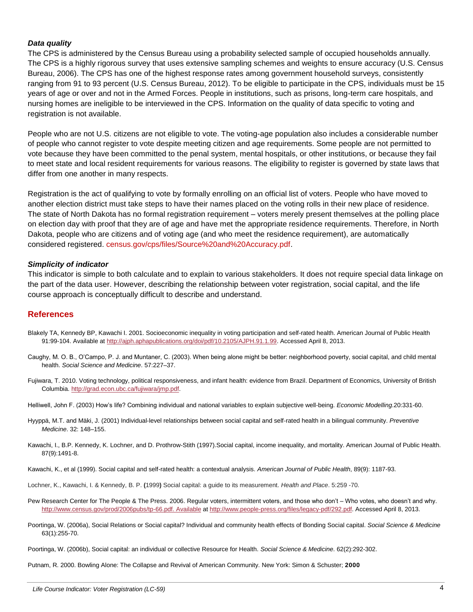#### *Data quality*

The CPS is administered by the Census Bureau using a probability selected sample of occupied households annually. The CPS is a highly rigorous survey that uses extensive sampling schemes and weights to ensure accuracy (U.S. Census Bureau, 2006). The CPS has one of the highest response rates among government household surveys, consistently ranging from 91 to 93 percent (U.S. Census Bureau, 2012). To be eligible to participate in the CPS, individuals must be 15 years of age or over and not in the Armed Forces. People in institutions, such as prisons, long-term care hospitals, and nursing homes are ineligible to be interviewed in the CPS. Information on the quality of data specific to voting and registration is not available.

People who are not U.S. citizens are not eligible to vote. The voting-age population also includes a considerable number of people who cannot register to vote despite meeting citizen and age requirements. Some people are not permitted to vote because they have been committed to the penal system, mental hospitals, or other institutions, or because they fail to meet state and local resident requirements for various reasons. The eligibility to register is governed by state laws that differ from one another in many respects.

Registration is the act of qualifying to vote by formally enrolling on an official list of voters. People who have moved to another election district must take steps to have their names placed on the voting rolls in their new place of residence. The state of North Dakota has no formal registration requirement – voters merely present themselves at the polling place on election day with proof that they are of age and have met the appropriate residence requirements. Therefore, in North Dakota, people who are citizens and of voting age (and who meet the residence requirement), are automatically considered registered. [census.gov/cps/files/Source%20and%20Accuracy.pdf.](http://www.census.gov/cps/files/Source%20and%20Accuracy.pdf)

#### *Simplicity of indicator*

This indicator is simple to both calculate and to explain to various stakeholders. It does not require special data linkage on the part of the data user. However, describing the relationship between voter registration, social capital, and the life course approach is conceptually difficult to describe and understand.

#### **References**

- Blakely TA, Kennedy BP, Kawachi I. 2001. Socioeconomic inequality in voting participation and self-rated health. American Journal of Public Health 91:99-104. Available at [http://ajph.aphapublications.org/doi/pdf/10.2105/AJPH.91.1.99.](http://ajph.aphapublications.org/doi/pdf/10.2105/AJPH.91.1.99) Accessed April 8, 2013.
- Caughy, M. O. B., O'Campo, P. J. and Muntaner, C. (2003). When being alone might be better: neighborhood poverty, social capital, and child mental health. *Social Science and Medicine*. 57:227–37.
- Fujiwara, T. 2010. Voting technology, political responsiveness, and infant health: evidence from Brazil. Department of Economics, University of British Columbia[. http://grad.econ.ubc.ca/fujiwara/jmp.pdf.](http://grad.econ.ubc.ca/fujiwara/jmp.pdf)
- Helliwell, John F. (2003) How's life? Combining individual and national variables to explain subjective well-being. *Economic Modelling*.20:331-60.
- Hyyppä, M.T. and Mäki, J. (2001) Individual‐level relationships between social capital and self‐rated health in a bilingual community. *Preventive Medicine*. 32: 148–155.
- Kawachi, I., B.P. Kennedy, K. Lochner, and D. Prothrow-Stith (1997).Social capital, income inequality, and mortality. American Journal of Public Health. 87(9):1491-8.
- Kawachi, K., et al (1999). Social capital and self-rated health: a contextual analysis. *American Journal of Public Health*, 89(9): 1187-93.
- Lochner, K., Kawachi, I. & Kennedy, B. P. **(**1999**)** Social capital: a guide to its measurement. *Health and Place*. 5:259 -70.
- Pew Research Center for The People & The Press. 2006. Regular voters, intermittent voters, and those who don't Who votes, who doesn't and why. [http://www.census.gov/prod/2006pubs/tp-66.pdf.](http://www.census.gov/prod/2006pubs/tp-66.pdf.%20%20Available) Available a[t http://www.people-press.org/files/legacy-pdf/292.pdf.](http://www.people-press.org/files/legacy-pdf/292.pdf) Accessed April 8, 2013.
- Poortinga, W. (2006a), Social Relations or Social capital? Individual and community health effects of Bonding Social capital. *Social Science & Medicine* 63(1):255-70.
- Poortinga, W. (2006b), Social capital: an individual or collective Resource for Health. *Social Science & Medicine*. 62(2):292-302.

Putnam, R. 2000. Bowling Alone: The Collapse and Revival of American Community. New York: Simon & Schuster; **2000**